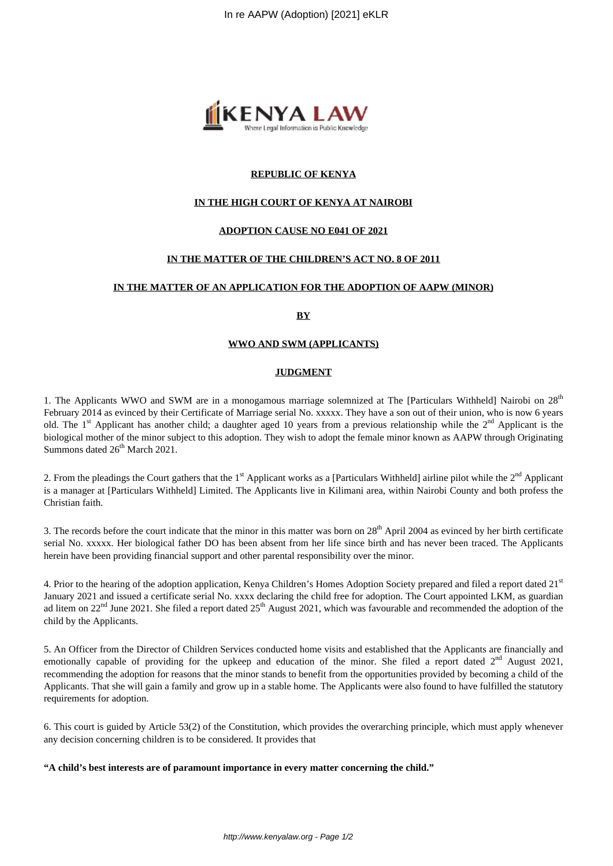

## **REPUBLIC OF KENYA**

### **IN THE HIGH COURT OF KENYA AT NAIROBI**

### **ADOPTION CAUSE NO E041 OF 2021**

### **IN THE MATTER OF THE CHILDREN'S ACT NO. 8 OF 2011**

### **IN THE MATTER OF AN APPLICATION FOR THE ADOPTION OF AAPW (MINOR)**

#### **BY**

### **WWO AND SWM (APPLICANTS)**

#### **JUDGMENT**

1. The Applicants WWO and SWM are in a monogamous marriage solemnized at The [Particulars Withheld] Nairobi on  $28<sup>th</sup>$ February 2014 as evinced by their Certificate of Marriage serial No. xxxxx. They have a son out of their union, who is now 6 years old. The 1<sup>st</sup> Applicant has another child; a daughter aged 10 years from a previous relationship while the  $2<sup>nd</sup>$  Applicant is the biological mother of the minor subject to this adoption. They wish to adopt the female minor known as AAPW through Originating Summons dated  $26<sup>th</sup>$  March 2021.

2. From the pleadings the Court gathers that the  $1<sup>st</sup>$  Applicant works as a [Particulars Withheld] airline pilot while the  $2<sup>nd</sup>$  Applicant is a manager at [Particulars Withheld] Limited. The Applicants live in Kilimani area, within Nairobi County and both profess the Christian faith.

3. The records before the court indicate that the minor in this matter was born on  $28<sup>th</sup>$  April 2004 as evinced by her birth certificate serial No. xxxxx. Her biological father DO has been absent from her life since birth and has never been traced. The Applicants herein have been providing financial support and other parental responsibility over the minor.

4. Prior to the hearing of the adoption application, Kenya Children's Homes Adoption Society prepared and filed a report dated 21st January 2021 and issued a certificate serial No. xxxx declaring the child free for adoption. The Court appointed LKM, as guardian ad litem on  $22<sup>nd</sup>$  June 2021. She filed a report dated  $25<sup>th</sup>$  August 2021, which was favourable and recommended the adoption of the child by the Applicants.

5. An Officer from the Director of Children Services conducted home visits and established that the Applicants are financially and emotionally capable of providing for the upkeep and education of the minor. She filed a report dated  $2<sup>nd</sup>$  August 2021, recommending the adoption for reasons that the minor stands to benefit from the opportunities provided by becoming a child of the Applicants. That she will gain a family and grow up in a stable home. The Applicants were also found to have fulfilled the statutory requirements for adoption.

6. This court is guided by Article 53(2) of the Constitution, which provides the overarching principle, which must apply whenever any decision concerning children is to be considered. It provides that

#### **"A child's best interests are of paramount importance in every matter concerning the child."**